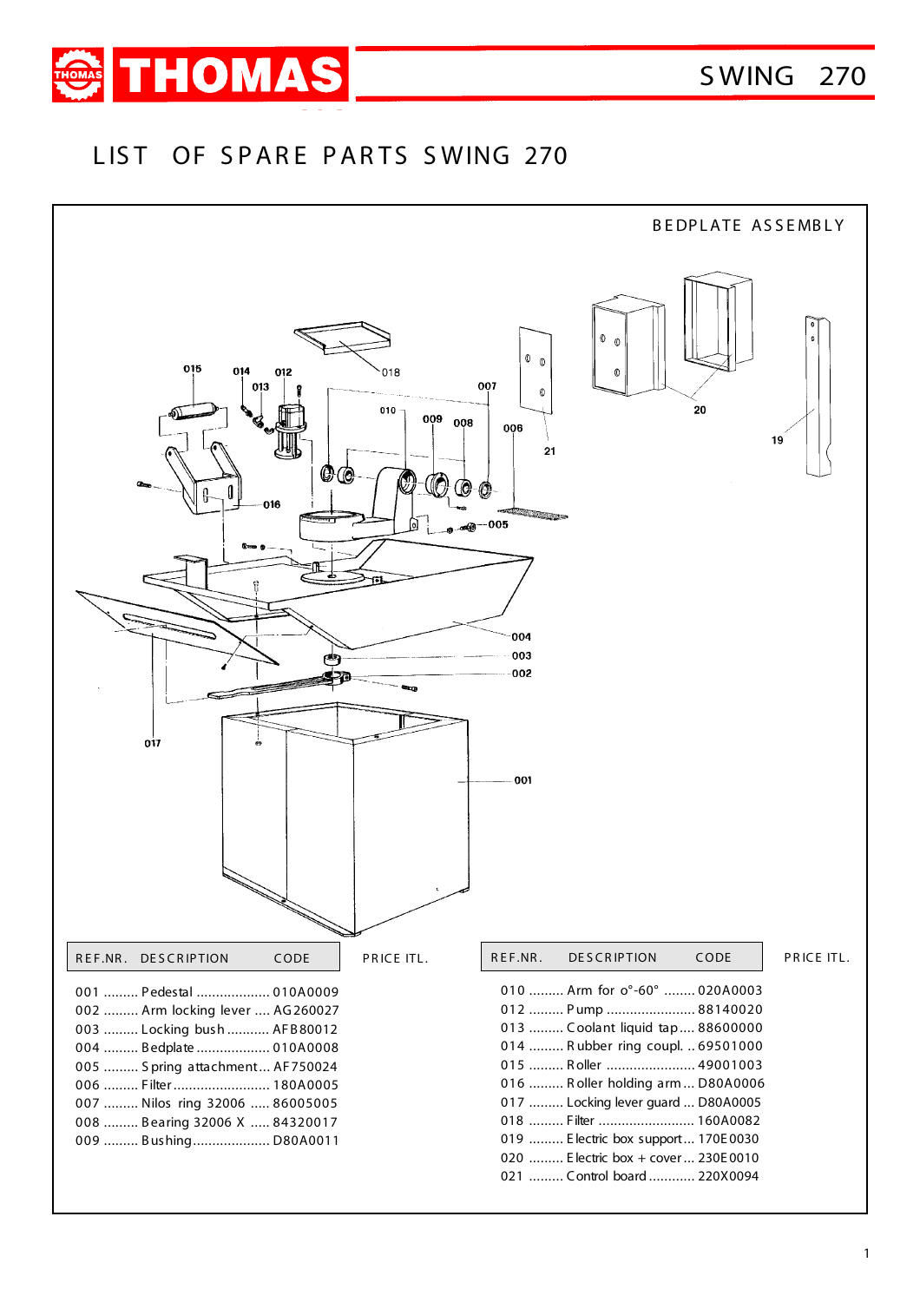

## LIST OF SPARE PARTS SWING 270

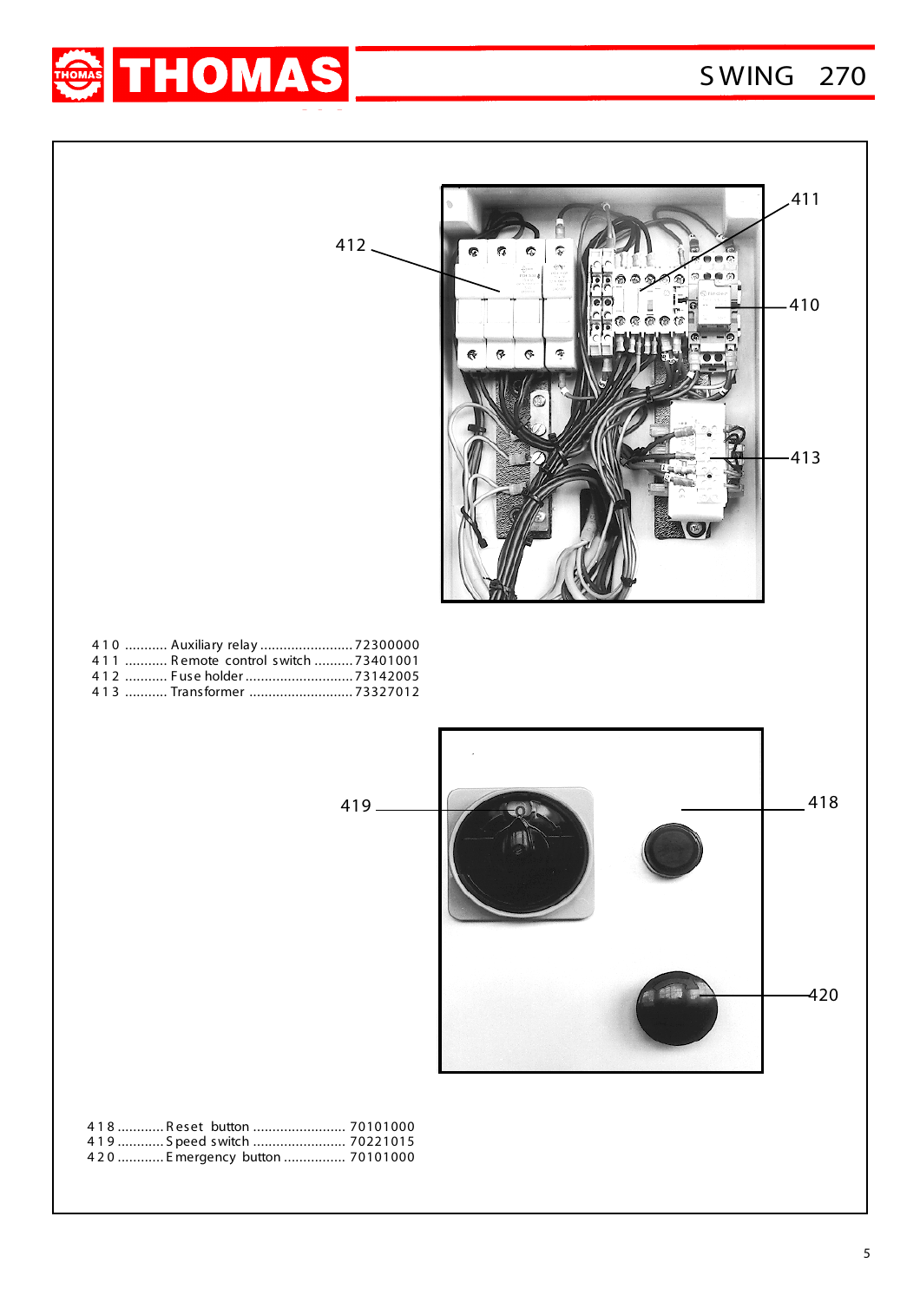## S WING 270



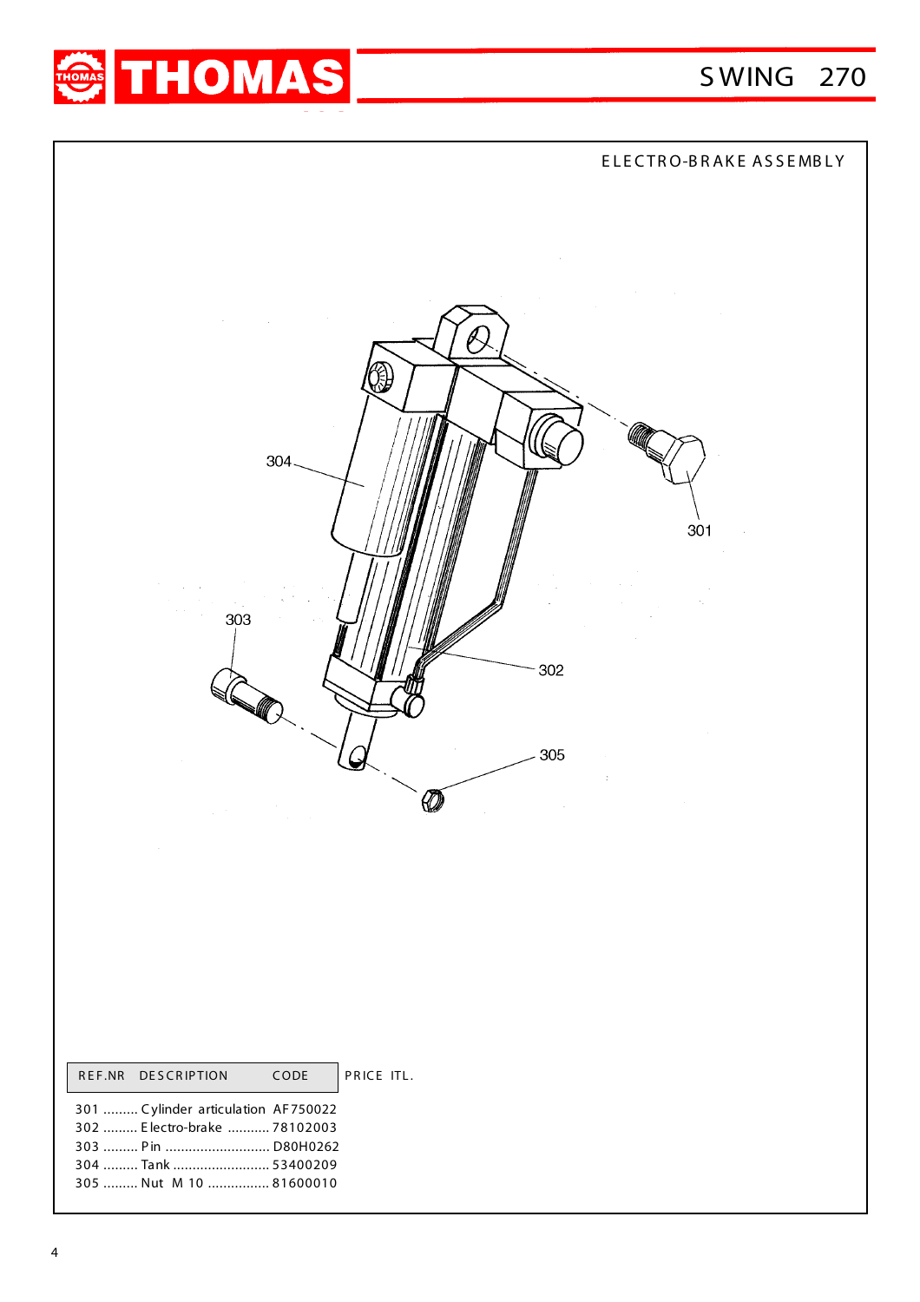



|                                                                     | ELECTRO-BRAKE ASSEMBLY                                                                        |
|---------------------------------------------------------------------|-----------------------------------------------------------------------------------------------|
| and the control<br>$\sim$<br>$\sim 10$<br>304<br>303<br>302<br>305  | $\sim$<br>$\sim 100$<br>$\sim 10^6$<br>301<br>$\alpha$<br>$\ddot{\ddot{z}}$<br>$\sim 10^{-1}$ |
| PRICE ITL.<br>REF.NR DESCRIPTION<br>$\mathsf{CODE}$                 |                                                                                               |
| 301  Cylinder articulation AF750022<br>302  Electro-brake  78102003 |                                                                                               |
|                                                                     |                                                                                               |
| 304  Tank  53400209<br>305  Nut M 10  81600010                      |                                                                                               |
|                                                                     |                                                                                               |
|                                                                     |                                                                                               |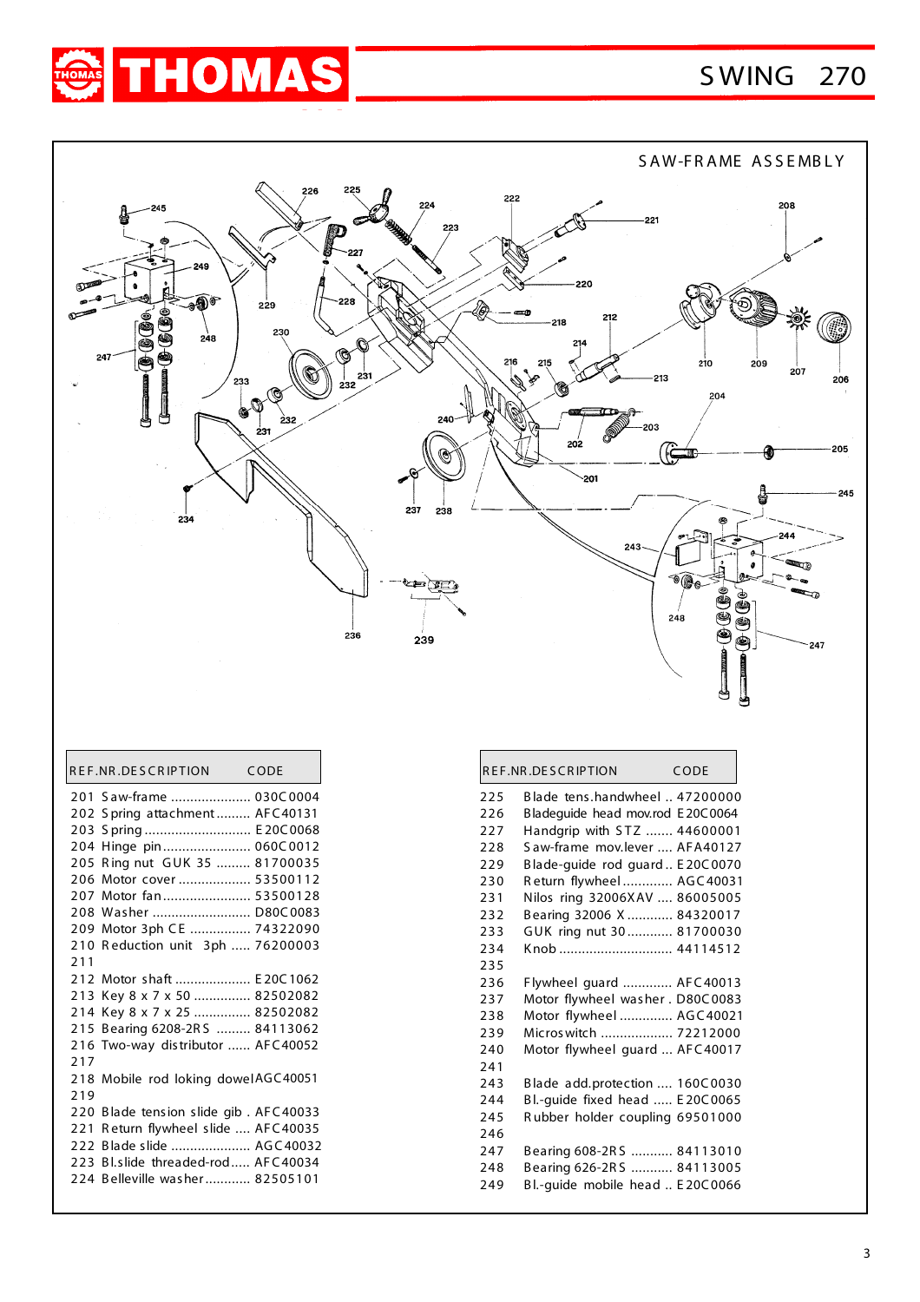## S WING 270





|     | REF.NR.DESCRIPTION CODE               |  |
|-----|---------------------------------------|--|
|     | 201 Saw-frame  030C0004               |  |
|     | 202 Spring attachment AFC40131        |  |
|     | 203 Spring E20C0068                   |  |
|     | 204 Hinge pin 060C0012                |  |
|     | 205 Ring nut GUK 35  81700035         |  |
|     | 206 Motor cover  53500112             |  |
|     | 207 Motor fan 53500128                |  |
|     | 208 Washer  D80C0083                  |  |
| 209 | Motor 3ph CE  74322090                |  |
| 210 | Reduction unit 3ph  76200003          |  |
| 211 |                                       |  |
|     | 212 Motor shaft  E20C1062             |  |
|     | 213 Key 8 x 7 x 50  82502082          |  |
| 214 | Key 8 x 7 x 25  82502082              |  |
|     | 215 Bearing 6208-2RS  84113062        |  |
|     | 216 Two-way distributor  AFC40052     |  |
| 217 |                                       |  |
|     | 218 Mobile rod loking dowelAGC40051   |  |
| 219 |                                       |  |
|     | 220 Blade tension slide gib. AFC40033 |  |
| 221 | Return flywheel slide  AFC40035       |  |
|     | 222 Blade slide  AGC40032             |  |
| 223 | Bl.slide threaded-rod AFC40034        |  |
|     | 224 Belleville washer 82505101        |  |

|     | REF.NR.DESCRIPTION               | CODE |
|-----|----------------------------------|------|
| 225 | Blade tens.handwheel  47200000   |      |
| 226 | Bladeguide head mov.rod E20C0064 |      |
| 227 | Handgrip with STZ  44600001      |      |
| 228 | Saw-frame mov.lever  AFA40127    |      |
| 229 | Blade-guide rod guard E20C0070   |      |
| 230 | Return flywheel AGC40031         |      |
| 231 | Nilos ring 32006XAV  86005005    |      |
| 232 | Bearing 32006 X  84320017        |      |
| 233 | GUK ring nut 30 81700030         |      |
| 234 | Knob  44114512                   |      |
| 235 |                                  |      |
| 236 | Flywheel guard  AFC40013         |      |
| 237 | Motor flywheel washer. D80C0083  |      |
| 238 | Motor flywheel  AGC40021         |      |
| 239 | Micros witch  72212000           |      |
| 240 | Motor flywheel guard  AFC40017   |      |
| 241 |                                  |      |
| 243 | Blade add.protection  160C0030   |      |
| 244 | Bl.-guide fixed head  E20C0065   |      |
| 245 | Rubber holder coupling 69501000  |      |
| 246 |                                  |      |
| 247 | Bearing 608-2RS  84113010        |      |
| 248 | Bearing 626-2RS  84113005        |      |
| 249 | Bl.-guide mobile head  E20C0066  |      |